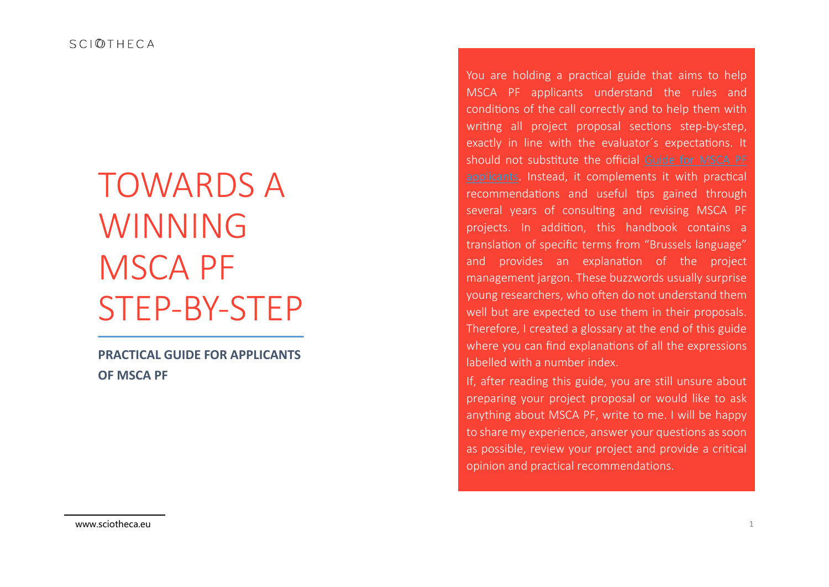SCIOTHFCA

# TOWARDS A WINNING MSCA PF STEP-BY-STEP

**PRACTICAL GUIDE FOR APPLICANTS OF MSCA PF**

You are holding a practical guide that aims to help MSCA PF applicants understand the rules and conditions of the call correctly and to help them with writing all project proposal sections step-by-step, exactly in line with the evaluator´s expectations. It should not substitute the official [Guide for MSCA PF](https://ec.europa.eu/research/participants/data/ref/h2020/other/guides_for_applicants/h2020-guide-appl-msca-if-2018-20_en.pdf) [applicants.](https://ec.europa.eu/research/participants/data/ref/h2020/other/guides_for_applicants/h2020-guide-appl-msca-if-2018-20_en.pdf) Instead, it complements it with practical recommendations and useful tips gained through several years of consulting and revising MSCA PF projects. In addition, this handbook contains a translation of specific terms from "Brussels language" and provides an explanation of the project management jargon. These buzzwords usually surprise young researchers, who often do not understand them well but are expected to use them in their proposals. Therefore, I created a glossary at the end of this guide where you can find explanations of all the expressions labelled with a number index.

If, after reading this guide, you are still unsure about preparing your project proposal or would like to ask anything about MSCA PF, write to me. I will be happy to share my experience, answer your questions as soon as possible, review your project and provide a critical opinion and practical recommendations.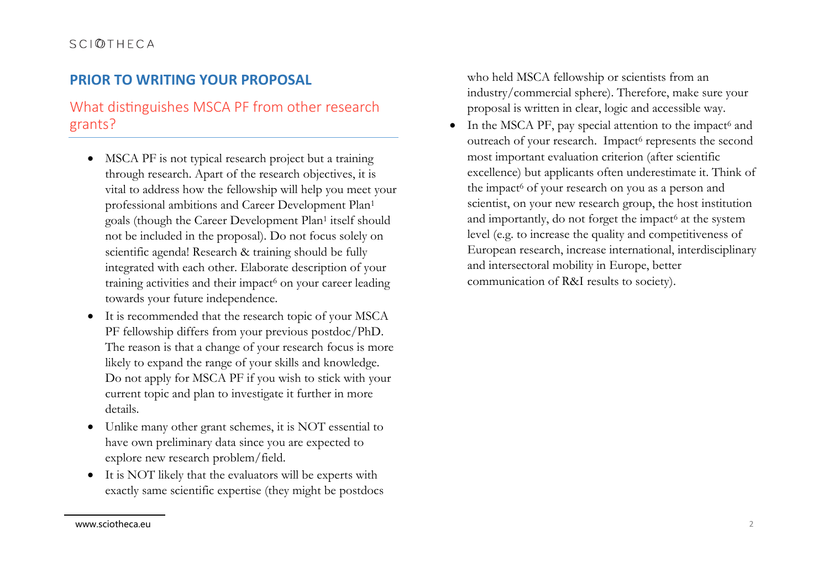## **PRIOR TO WRITING YOUR PROPOSAL**

# What distinguishes MSCA PF from other research grants?

- MSCA PF is not typical research project but a training through research. Apart of the research objectives, it is vital to address how the fellowship will help you meet your professional ambitions and Career Development Plan<sup>1</sup> goals (though the Career Development Plan<sup>1</sup> itself should not be included in the proposal). Do not focus solely on scientific agenda! Research & training should be fully integrated with each other. Elaborate description of your training activities and their impact<sup>6</sup> on your career leading towards your future independence.
- It is recommended that the research topic of your MSCA PF fellowship differs from your previous postdoc/PhD. The reason is that a change of your research focus is more likely to expand the range of your skills and knowledge. Do not apply for MSCA PF if you wish to stick with your current topic and plan to investigate it further in more details.
- Unlike many other grant schemes, it is NOT essential to have own preliminary data since you are expected to explore new research problem/field.
- It is NOT likely that the evaluators will be experts with exactly same scientific expertise (they might be postdocs

who held MSCA fellowship or scientists from an industry/commercial sphere). Therefore, make sure your proposal is written in clear, logic and accessible way.

• In the MSCA PF, pay special attention to the impact $6$  and outreach of your research. Impact<sup>6</sup> represents the second most important evaluation criterion (after scientific excellence) but applicants often underestimate it. Think of the impact<sup>6</sup> of your research on you as a person and scientist, on your new research group, the host institution and importantly, do not forget the impact<sup>6</sup> at the system level (e.g. to increase the quality and competitiveness of European research, increase international, interdisciplinary and intersectoral mobility in Europe, better communication of R&I results to society).

www.sciotheca.eu 2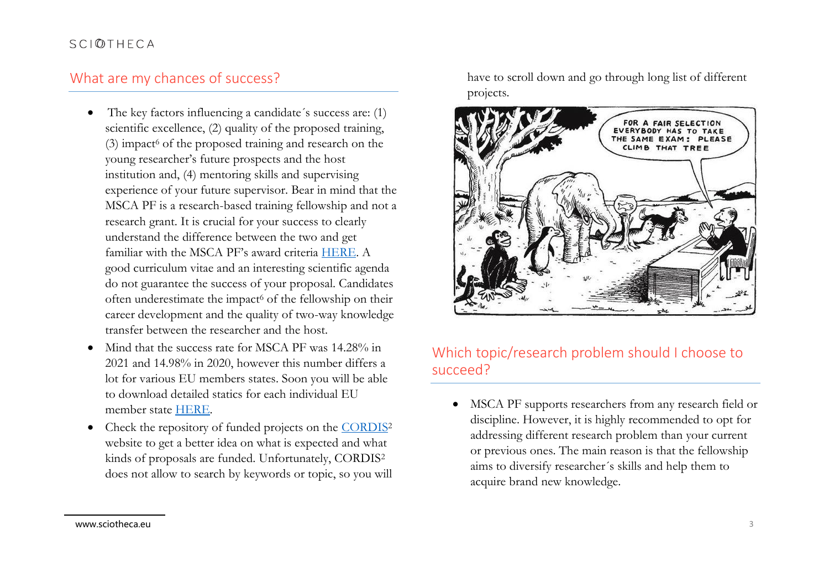## What are my chances of success?

- The key factors influencing a candidate's success are: (1) scientific excellence, (2) quality of the proposed training,  $(3)$  impact<sup>6</sup> of the proposed training and research on the young researcher's future prospects and the host institution and, (4) mentoring skills and supervising experience of your future supervisor. Bear in mind that the MSCA PF is a research-based training fellowship and not a research grant. It is crucial for your success to clearly understand the difference between the two and get familiar with the MSCA PF's award criteria [HERE.](file:///C:/Users/233441/Downloads/wp-2-msca-actions_horizon-2021-2022_en%20(1).pdf) A good curriculum vitae and an interesting scientific agenda do not guarantee the success of your proposal. Candidates often underestimate the impact<sup>6</sup> of the fellowship on their career development and the quality of two-way knowledge transfer between the researcher and the host.
- Mind that the success rate for MSCA PF was 14.28% in 2021 and 14.98% in 2020, however this number differs a lot for various EU members states. Soon you will be able to download detailed statics for each individual EU member state [HERE.](https://marie-sklodowska-curie-actions.ec.europa.eu/resources/msca-in-statistics-data)
- Check the repository of funded projects on the [CORDIS](https://cordis.europa.eu/search?q=contenttype%3D%27project%27%20AND%20(programme%2Fcode%3D%27H2020%27)%20AND%20%2Fproject%2Frelations%2Fcategories%2FprojectFundingSchemeCategory%2Fcode%3D%27MSCA-IF%27%2C%27MSCA-IF-EF%27%2C%27MSCA-IF-EF-CAR%27%2C%27MSCA-IF-EF-RI%27&p=1&num=10&srt=Relevance:decreasing)<sup>2</sup> website to get a better idea on what is expected and what kinds of proposals are funded. Unfortunately, CORDIS<sup>2</sup> does not allow to search by keywords or topic, so you will

have to scroll down and go through long list of different projects.



## Which topic/research problem should I choose to succeed?

• MSCA PF supports researchers from any research field or discipline. However, it is highly recommended to opt for addressing different research problem than your current or previous ones. The main reason is that the fellowship aims to diversify researcher´s skills and help them to acquire brand new knowledge.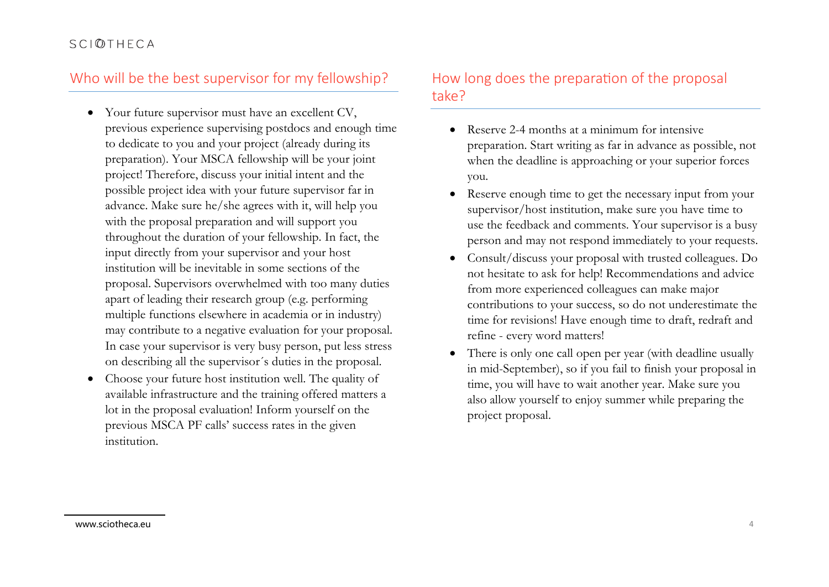## Who will be the best supervisor for my fellowship?

- Your future supervisor must have an excellent CV, previous experience supervising postdocs and enough time to dedicate to you and your project (already during its preparation). Your MSCA fellowship will be your joint project! Therefore, discuss your initial intent and the possible project idea with your future supervisor far in advance. Make sure he/she agrees with it, will help you with the proposal preparation and will support you throughout the duration of your fellowship. In fact, the input directly from your supervisor and your host institution will be inevitable in some sections of the proposal. Supervisors overwhelmed with too many duties apart of leading their research group (e.g. performing multiple functions elsewhere in academia or in industry) may contribute to a negative evaluation for your proposal. In case your supervisor is very busy person, put less stress on describing all the supervisor´s duties in the proposal.
- Choose your future host institution well. The quality of available infrastructure and the training offered matters a lot in the proposal evaluation! Inform yourself on the previous MSCA PF calls' success rates in the given institution.

## How long does the preparation of the proposal take?

- Reserve 2-4 months at a minimum for intensive preparation. Start writing as far in advance as possible, not when the deadline is approaching or your superior forces you.
- Reserve enough time to get the necessary input from your supervisor/host institution, make sure you have time to use the feedback and comments. Your supervisor is a busy person and may not respond immediately to your requests.
- Consult/discuss your proposal with trusted colleagues. Do not hesitate to ask for help! Recommendations and advice from more experienced colleagues can make major contributions to your success, so do not underestimate the time for revisions! Have enough time to draft, redraft and refine - every word matters!
- There is only one call open per year (with deadline usually in mid-September), so if you fail to finish your proposal in time, you will have to wait another year. Make sure you also allow yourself to enjoy summer while preparing the project proposal.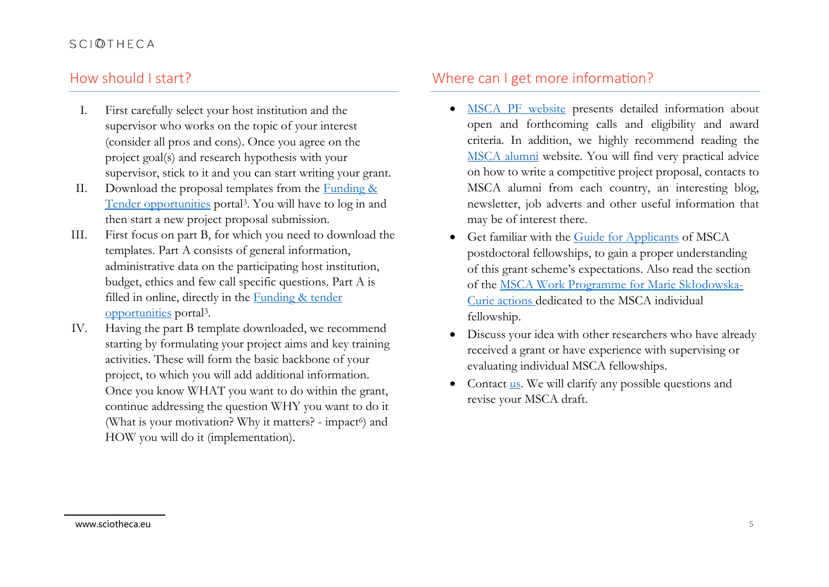## How should I start?

- I. First carefully select your host institution and the supervisor who works on the topic of your interest (consider all pros and cons). Once you agree on the project goal(s) and research hypothesis with your supervisor, stick to it and you can start writing your grant.
- II. Download the proposal templates from the [Funding &](https://ec.europa.eu/info/funding-tenders/opportunities/portal/screen/home)  [Tender opportunities](https://ec.europa.eu/info/funding-tenders/opportunities/portal/screen/home) portal<sup>3</sup>. You will have to log in and then start a new project proposal submission.
- III. First focus on part B, for which you need to download the templates. Part A consists of general information, administrative data on the participating host institution, budget, ethics and few call specific questions. Part A is filled in online, directly in the **Funding & tender** [opportunities](https://ec.europa.eu/info/funding-tenders/opportunities/portal/screen/home) portal<sup>3</sup> .
- IV. Having the part B template downloaded, we recommend starting by formulating your project aims and key training activities. These will form the basic backbone of your project, to which you will add additional information. Once you know WHAT you want to do within the grant, continue addressing the question WHY you want to do it (What is your motivation? Why it matters? - impact<sup>6</sup>) and HOW you will do it (implementation).

## Where can I get more information?

- [MSCA PF website](https://marie-sklodowska-curie-actions.ec.europa.eu/actions/postdoctoral-fellowships) presents detailed information about open and forthcoming calls and eligibility and award criteria. In addition, we highly recommend reading the [MSCA alumni](https://www.mariecuriealumni.eu/magazine/news/want-become-marie-sk%C5%82odowska-curie-fellow-individual-fellowships-if-spotlight) website. You will find very practical advice on how to write a competitive project proposal, contacts to MSCA alumni from each country, an interesting blog, newsletter, job adverts and other useful information that may be of interest there.
- Get familiar with the [Guide for Applicants](https://rea.ec.europa.eu/system/files/2021-10/MSCA%20SE%202021%20-%20Guide%20for%20applicants_0.pdf) of MSCA postdoctoral fellowships, to gain a proper understanding of this grant scheme's expectations. Also read the section of the [MSCA Work Programme for Marie Skłodowska](file:///C:/Users/233441/Downloads/wp-2-msca-actions_horizon-2021-2022_en%20(2).pdf)-[Curie actions](file:///C:/Users/233441/Downloads/wp-2-msca-actions_horizon-2021-2022_en%20(2).pdf) dedicated to the MSCA individual fellowship.
- Discuss your idea with other researchers who have already received a grant or have experience with supervising or evaluating individual MSCA fellowships.
- Contact [us.](https://sciotheca.eu/) We will clarify any possible questions and revise your MSCA draft.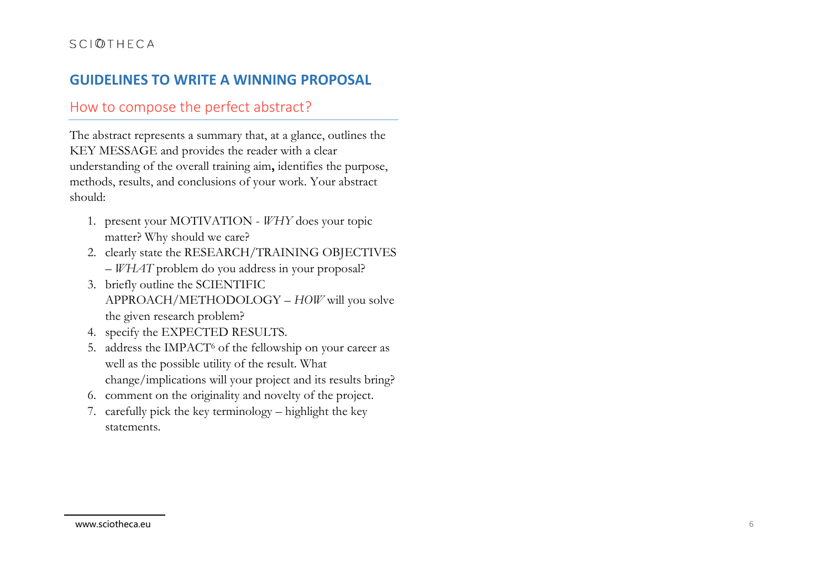# **GUIDELINES TO WRITE A WINNING PROPOSAL**

## How to compose the perfect abstract?

The abstract represents a summary that, at a glance, outlines the KEY MESSAGE and provides the reader with a clear understanding of the overall training aim **,** identifies the purpose, methods, results, and conclusions of your work. Your abstract should:

- 1. present your MOTIVATION *WHY* does your topic matter? Why should we care?
- 2. clearly state the RESEARCH/TRAINING OBJECTIVES – *WHAT* problem do you address in your proposal?
- 3. briefly outline the SCIENTIFIC APPROACH/METHODOLOGY – *HOW* will you solve the given research problem?
- 4. specify the EXPECTED RESULTS.
- 5. address the IMPACT <sup>6</sup> of the fellowship on your career as well as the possible utility of the result. What change/implications will your project and its results bring?
- 6. comment on the originality and novelty of the project.
- 7. carefully pick the key terminology highlight the key statements .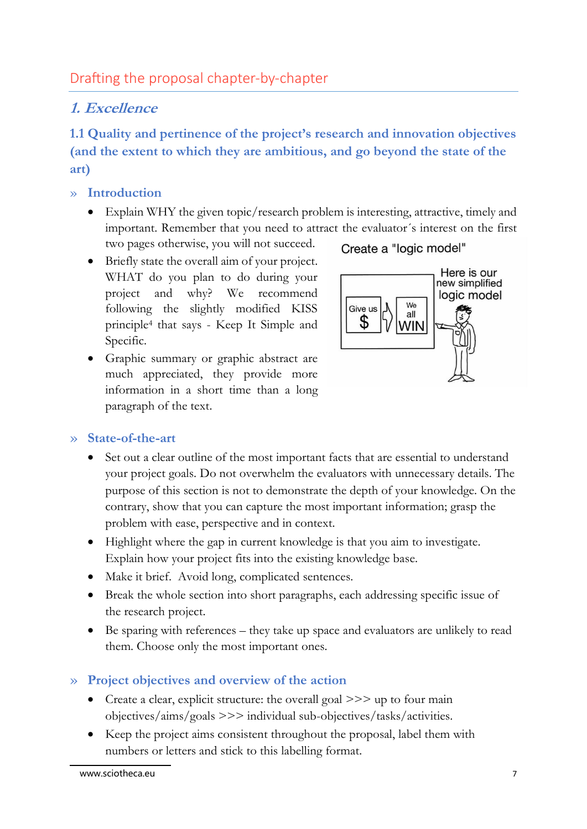# **1. Excellence**

**1.1 Quality and pertinence of the project's research and innovation objectives (and the extent to which they are ambitious, and go beyond the state of the art)**

## » **Introduction**

- Explain WHY the given topic/research problem is interesting, attractive, timely and important. Remember that you need to attract the evaluator´s interest on the first two pages otherwise, you will not succeed.
- Briefly state the overall aim of your project. WHAT do you plan to do during your project and why? We recommend following the slightly modified KISS principle<sup>4</sup> that says - Keep It Simple and Specific.
- Graphic summary or graphic abstract are much appreciated, they provide more information in a short time than a long paragraph of the text.





## » **State-of-the-art**

- Set out a clear outline of the most important facts that are essential to understand your project goals. Do not overwhelm the evaluators with unnecessary details. The purpose of this section is not to demonstrate the depth of your knowledge. On the contrary, show that you can capture the most important information; grasp the problem with ease, perspective and in context.
- Highlight where the gap in current knowledge is that you aim to investigate. Explain how your project fits into the existing knowledge base.
- Make it brief. Avoid long, complicated sentences.
- Break the whole section into short paragraphs, each addressing specific issue of the research project.
- Be sparing with references they take up space and evaluators are unlikely to read them. Choose only the most important ones.

## » **Project objectives and overview of the action**

- Create a clear, explicit structure: the overall goal >>> up to four main objectives/aims/goals >>> individual sub-objectives/tasks/activities.
- Keep the project aims consistent throughout the proposal, label them with numbers or letters and stick to this labelling format.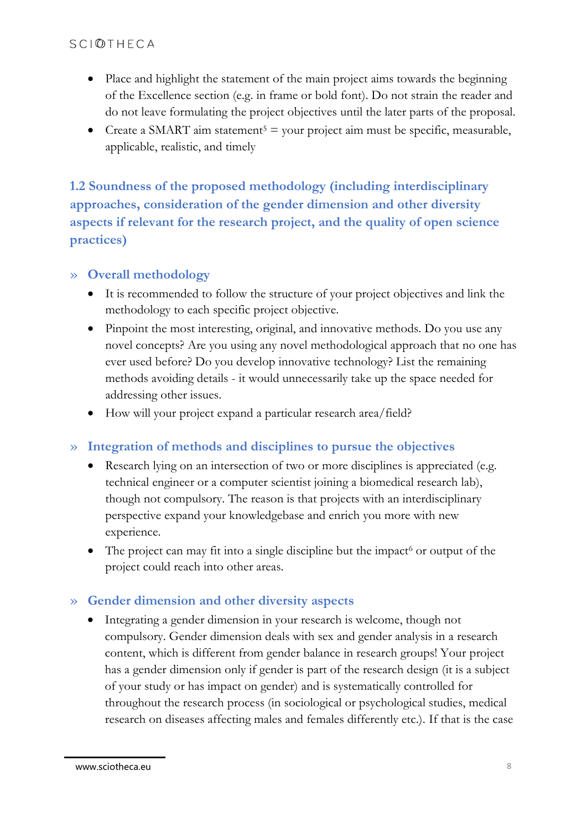- Place and highlight the statement of the main project aims towards the beginning of the Excellence section (e.g. in frame or bold font). Do not strain the reader and do not leave formulating the project objectives until the later parts of the proposal.
- Create a SMART aim statement<sup>5</sup> = your project aim must be specific, measurable, applicable, realistic, and timely

**1.2 Soundness of the proposed methodology (including interdisciplinary approaches, consideration of the gender dimension and other diversity aspects if relevant for the research project, and the quality of open science practices)**

#### » **Overall methodology**

- It is recommended to follow the structure of your project objectives and link the methodology to each specific project objective.
- Pinpoint the most interesting, original, and innovative methods. Do you use any novel concepts? Are you using any novel methodological approach that no one has ever used before? Do you develop innovative technology? List the remaining methods avoiding details - it would unnecessarily take up the space needed for addressing other issues.
- How will your project expand a particular research area/field?

## » **Integration of methods and disciplines to pursue the objectives**

- Research lying on an intersection of two or more disciplines is appreciated (e.g. technical engineer or a computer scientist joining a biomedical research lab), though not compulsory. The reason is that projects with an interdisciplinary perspective expand your knowledgebase and enrich you more with new experience.
- The project can may fit into a single discipline but the impact  $\delta$  or output of the project could reach into other areas.

## » **Gender dimension and other diversity aspects**

• Integrating a gender dimension in your research is welcome, though not compulsory. Gender dimension deals with sex and gender analysis in a research content, which is different from gender balance in research groups! Your project has a gender dimension only if gender is part of the research design (it is a subject of your study or has impact on gender) and is systematically controlled for throughout the research process (in sociological or psychological studies, medical research on diseases affecting males and females differently etc.). If that is the case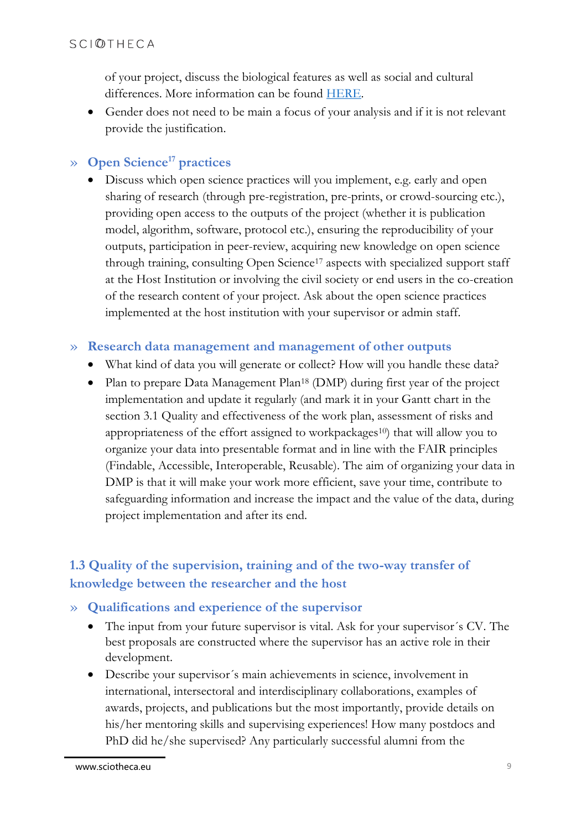of your project, discuss the biological features as well as social and cultural differences. More information can be found [HERE.](https://ec.europa.eu/info/news/gendered-innovations-2-2020-nov-24_en)

• Gender does not need to be main a focus of your analysis and if it is not relevant provide the justification.

## » **Open Science<sup>17</sup> practices**

• Discuss which open science practices will you implement, e.g. early and open sharing of research (through pre-registration, pre-prints, or crowd-sourcing etc.), providing open access to the outputs of the project (whether it is publication model, algorithm, software, protocol etc.), ensuring the reproducibility of your outputs, participation in peer-review, acquiring new knowledge on open science through training, consulting Open Science<sup>17</sup> aspects with specialized support staff at the Host Institution or involving the civil society or end users in the co-creation of the research content of your project. Ask about the open science practices implemented at the host institution with your supervisor or admin staff.

#### » **Research data management and management of other outputs**

- What kind of data you will generate or collect? How will you handle these data?
- Plan to prepare Data Management Plan<sup>18</sup> (DMP) during first year of the project implementation and update it regularly (and mark it in your Gantt chart in the section 3.1 Quality and effectiveness of the work plan, assessment of risks and appropriateness of the effort assigned to workpackages<sup>10</sup>) that will allow you to organize your data into presentable format and in line with the FAIR principles (Findable, Accessible, Interoperable, Reusable). The aim of organizing your data in DMP is that it will make your work more efficient, save your time, contribute to safeguarding information and increase the impact and the value of the data, during project implementation and after its end.

## **1.3 Quality of the supervision, training and of the two-way transfer of knowledge between the researcher and the host**

## » **Qualifications and experience of the supervisor**

- The input from your future supervisor is vital. Ask for your supervisor´s CV. The best proposals are constructed where the supervisor has an active role in their development.
- Describe your supervisor´s main achievements in science, involvement in international, intersectoral and interdisciplinary collaborations, examples of awards, projects, and publications but the most importantly, provide details on his/her mentoring skills and supervising experiences! How many postdocs and PhD did he/she supervised? Any particularly successful alumni from the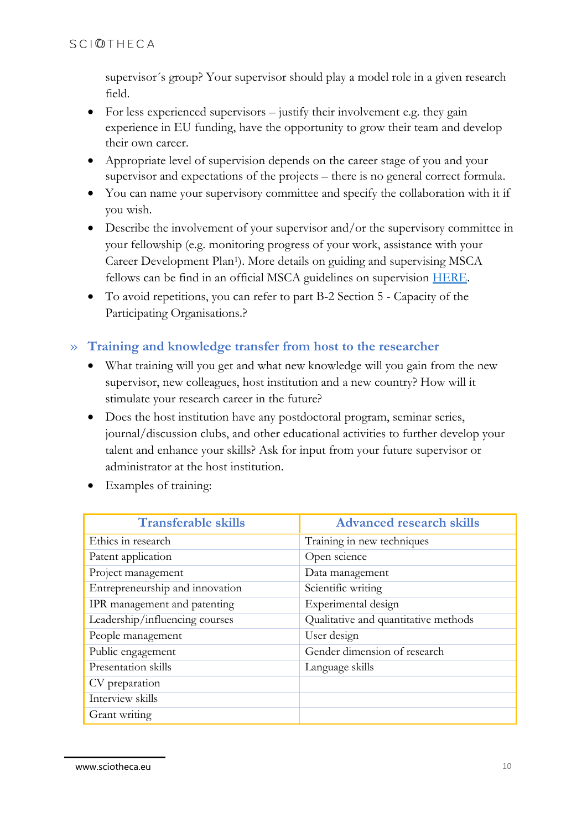supervisor´s group? Your supervisor should play a model role in a given research field.

- For less experienced supervisors justify their involvement e.g. they gain experience in EU funding, have the opportunity to grow their team and develop their own career.
- Appropriate level of supervision depends on the career stage of you and your supervisor and expectations of the projects – there is no general correct formula.
- You can name your supervisory committee and specify the collaboration with it if you wish.
- Describe the involvement of your supervisor and/or the supervisory committee in your fellowship (e.g. monitoring progress of your work, assistance with your Career Development Plan<sup>1</sup> ). More details on guiding and supervising MSCA fellows can be find in an official MSCA guidelines on supervision [HERE.](https://op.europa.eu/en/publication-detail/-/publication/bb02d56e-9b3c-11eb-b85c-01aa75ed71a1/language-en)
- To avoid repetitions, you can refer to part B-2 Section 5 Capacity of the Participating Organisations.?

## » **Training and knowledge transfer from host to the researcher**

- What training will you get and what new knowledge will you gain from the new supervisor, new colleagues, host institution and a new country? How will it stimulate your research career in the future?
- Does the host institution have any postdoctoral program, seminar series, journal/discussion clubs, and other educational activities to further develop your talent and enhance your skills? Ask for input from your future supervisor or administrator at the host institution.
- Examples of training:

| <b>Transferable skills</b>      | <b>Advanced research skills</b>      |
|---------------------------------|--------------------------------------|
| Ethics in research              | Training in new techniques           |
| Patent application              | Open science                         |
| Project management              | Data management                      |
| Entrepreneurship and innovation | Scientific writing                   |
| IPR management and patenting    | Experimental design                  |
| Leadership/influencing courses  | Qualitative and quantitative methods |
| People management               | User design                          |
| Public engagement               | Gender dimension of research         |
| Presentation skills             | Language skills                      |
| CV preparation                  |                                      |
| Interview skills                |                                      |
| Grant writing                   |                                      |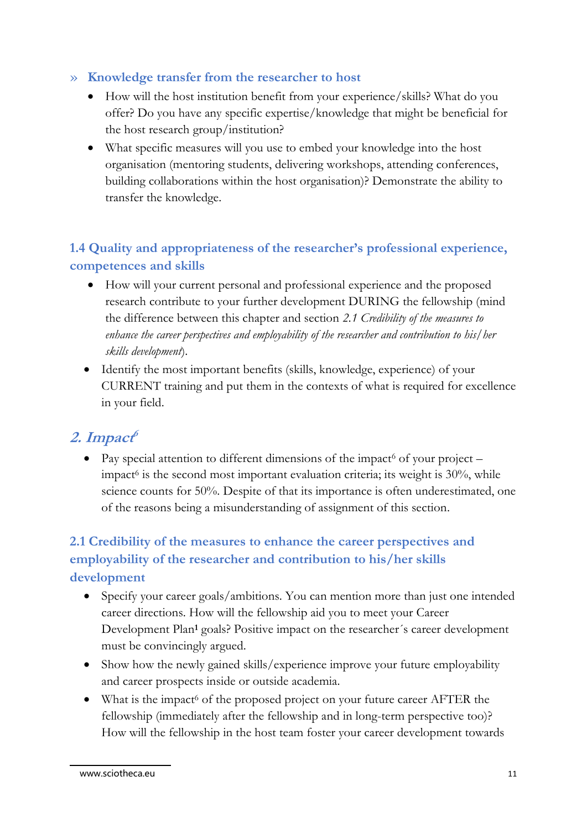## » **Knowledge transfer from the researcher to host**

- How will the host institution benefit from your experience/skills? What do you offer? Do you have any specific expertise/knowledge that might be beneficial for the host research group/institution?
- What specific measures will you use to embed your knowledge into the host organisation (mentoring students, delivering workshops, attending conferences, building collaborations within the host organisation)? Demonstrate the ability to transfer the knowledge.

# **1.4 Quality and appropriateness of the researcher's professional experience, competences and skills**

- How will your current personal and professional experience and the proposed research contribute to your further development DURING the fellowship (mind the difference between this chapter and section *2.1 Credibility of the measures to enhance the career perspectives and employability of the researcher and contribution to his/her skills development*).
- Identify the most important benefits (skills, knowledge, experience) of your CURRENT training and put them in the contexts of what is required for excellence in your field.

# **2. Impact 6**

• Pay special attention to different dimensions of the impact<sup>6</sup> of your project – impact<sup>6</sup> is the second most important evaluation criteria; its weight is 30%, while science counts for 50%. Despite of that its importance is often underestimated, one of the reasons being a misunderstanding of assignment of this section.

# **2.1 Credibility of the measures to enhance the career perspectives and employability of the researcher and contribution to his/her skills development**

- Specify your career goals/ambitions. You can mention more than just one intended career directions. How will the fellowship aid you to meet your Career Development Plan**<sup>1</sup>** goals? Positive impact on the researcher´s career development must be convincingly argued.
- Show how the newly gained skills/experience improve your future employability and career prospects inside or outside academia.
- What is the impact<sup>6</sup> of the proposed project on your future career AFTER the fellowship (immediately after the fellowship and in long-term perspective too)? How will the fellowship in the host team foster your career development towards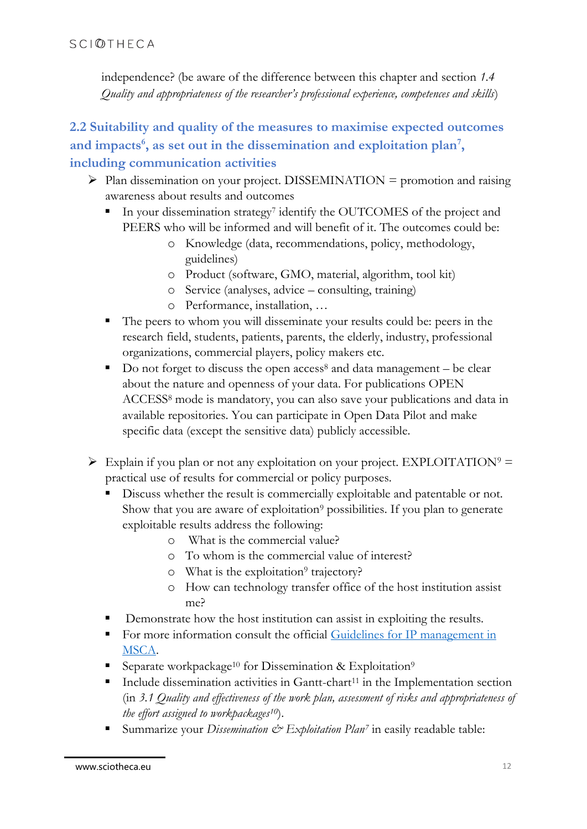independence? (be aware of the difference between this chapter and section *1.4 Quality and appropriateness of the researcher's professional experience, competences and skills*)

# **2.2 Suitability and quality of the measures to maximise expected outcomes and impacts<sup>6</sup> , as set out in the dissemination and exploitation plan<sup>7</sup> , including communication activities**

- $\triangleright$  Plan dissemination on your project. DISSEMINATION = promotion and raising awareness about results and outcomes
	- In your dissemination strategy<sup>7</sup> identify the OUTCOMES of the project and PEERS who will be informed and will benefit of it. The outcomes could be:
		- o Knowledge (data, recommendations, policy, methodology, guidelines)
		- o Product (software, GMO, material, algorithm, tool kit)
		- o Service (analyses, advice consulting, training)
		- o Performance, installation, …
	- The peers to whom you will disseminate your results could be: peers in the research field, students, patients, parents, the elderly, industry, professional organizations, commercial players, policy makers etc.
	- $\blacksquare$  Do not forget to discuss the open access<sup>8</sup> and data management be clear about the nature and openness of your data. For publications OPEN ACCESS<sup>8</sup> mode is mandatory, you can also save your publications and data in available repositories. You can participate in Open Data Pilot and make specific data (except the sensitive data) publicly accessible.
- $\triangleright$  Explain if you plan or not any exploitation on your project. EXPLOITATION<sup>9</sup> = practical use of results for commercial or policy purposes.
	- **•** Discuss whether the result is commercially exploitable and patentable or not. Show that you are aware of exploitation<sup>9</sup> possibilities. If you plan to generate exploitable results address the following:
		- o What is the commercial value?
		- o To whom is the commercial value of interest?
		- o What is the exploitation<sup>9</sup> trajectory?
		- o How can technology transfer office of the host institution assist me?
	- Demonstrate how the host institution can assist in exploiting the results.
	- For more information consult the official Guidelines for IP management in [MSCA.](https://www.iprhelpdesk.eu/sites/default/files/newsdocuments/Fact-Sheet-IP-Management-in-H2020-MSCAs.pdf)
	- Separate workpackage<sup>10</sup> for Dissemination & Exploitation<sup>9</sup>
	- $\blacksquare$  Include dissemination activities in Gantt-chart<sup>11</sup> in the Implementation section (in *3.1 Quality and effectiveness of the work plan, assessment of risks and appropriateness of the effort assigned to workpackages10*).
	- Summarize your *Dissemination*  $\mathcal{O}$  *Exploitation Plan<sup>7</sup>* in easily readable table: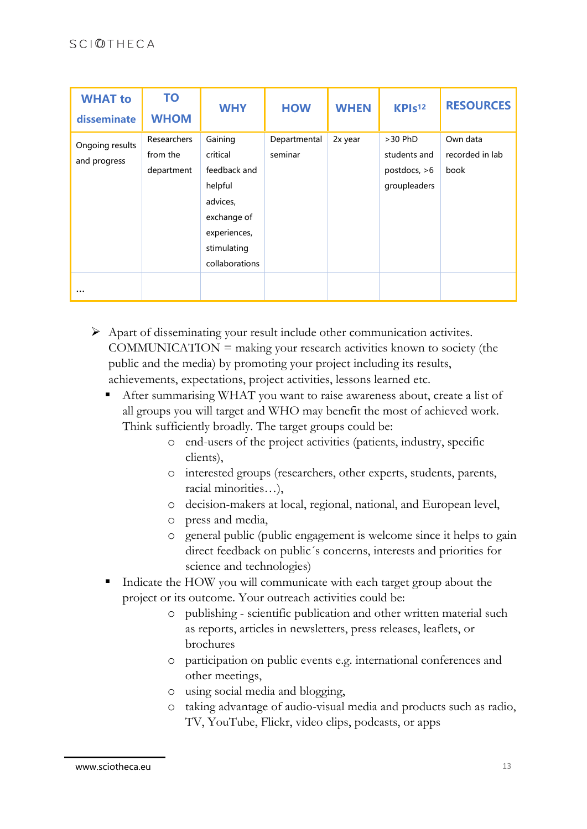| <b>WHAT to</b><br>disseminate               | <b>TO</b><br><b>WHOM</b>              | <b>WHY</b>                                                                                                                 | <b>HOW</b>              | <b>WHEN</b> | KPI <sub>s12</sub>                                          | <b>RESOURCES</b>                    |
|---------------------------------------------|---------------------------------------|----------------------------------------------------------------------------------------------------------------------------|-------------------------|-------------|-------------------------------------------------------------|-------------------------------------|
| Ongoing results<br>and progress<br>$\cdots$ | Researchers<br>from the<br>department | Gaining<br>critical<br>feedback and<br>helpful<br>advices,<br>exchange of<br>experiences,<br>stimulating<br>collaborations | Departmental<br>seminar | 2x year     | $>30$ PhD<br>students and<br>postdocs, $>6$<br>groupleaders | Own data<br>recorded in lab<br>book |

- ➢ Apart of disseminating your result include other communication activites.  $COMMUNICATION = making your research activities known to society (the$ public and the media) by promoting your project including its results, achievements, expectations, project activities, lessons learned etc.
	- After summarising WHAT you want to raise awareness about, create a list of all groups you will target and WHO may benefit the most of achieved work. Think sufficiently broadly. The target groups could be:
		- o end-users of the project activities (patients, industry, specific clients),
		- o interested groups (researchers, other experts, students, parents, racial minorities…),
		- o decision-makers at local, regional, national, and European level,
		- o press and media,
		- o general public (public engagement is welcome since it helps to gain direct feedback on public´s concerns, interests and priorities for science and technologies)
	- Indicate the HOW you will communicate with each target group about the project or its outcome. Your outreach activities could be:
		- o publishing scientific publication and other written material such as reports, articles in newsletters, press releases, leaflets, or brochures
		- o participation on public events e.g. international conferences and other meetings,
		- o using social media and blogging,
		- o taking advantage of audio-visual media and products such as radio, TV, YouTube, Flickr, video clips, podcasts, or apps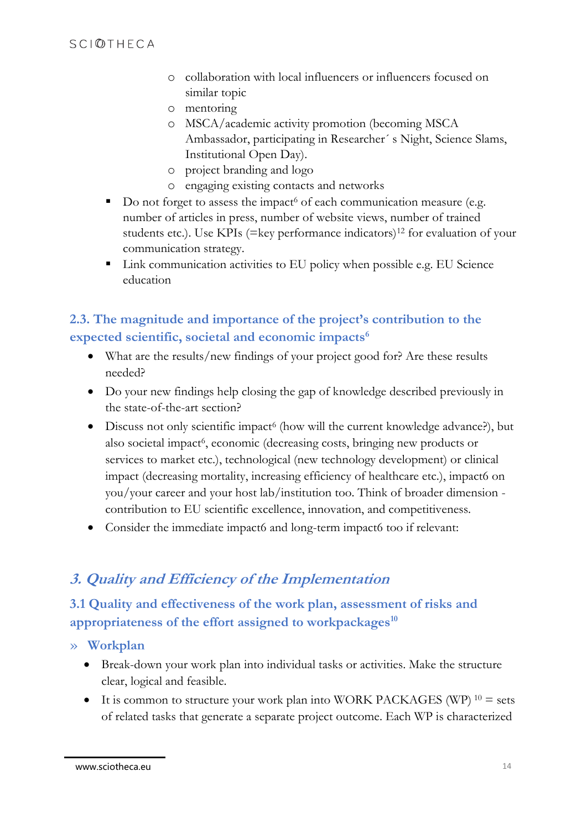- o collaboration with local influencers or influencers focused on similar topic
- o mentoring
- o MSCA/academic activity promotion (becoming MSCA Ambassador, participating in Researcher´ s Night, Science Slams, Institutional Open Day).
- o project branding and logo
- o engaging existing contacts and networks
- $\blacksquare$  Do not forget to assess the impact<sup>6</sup> of each communication measure (e.g. number of articles in press, number of website views, number of trained students etc.). Use KPIs (=key performance indicators)<sup>12</sup> for evaluation of your communication strategy.
- Link communication activities to EU policy when possible e.g. EU Science education

# **2.3. The magnitude and importance of the project's contribution to the expected scientific, societal and economic impacts<sup>6</sup>**

- What are the results/new findings of your project good for? Are these results needed?
- Do your new findings help closing the gap of knowledge described previously in the state-of-the-art section?
- Discuss not only scientific impact<sup>6</sup> (how will the current knowledge advance?), but also societal impact<sup>6</sup>, economic (decreasing costs, bringing new products or services to market etc.), technological (new technology development) or clinical impact (decreasing mortality, increasing efficiency of healthcare etc.), impact6 on you/your career and your host lab/institution too. Think of broader dimension contribution to EU scientific excellence, innovation, and competitiveness.
- Consider the immediate impact6 and long-term impact6 too if relevant:

# **3. Quality and Efficiency of the Implementation**

## **3.1 Quality and effectiveness of the work plan, assessment of risks and appropriateness of the effort assigned to workpackages<sup>10</sup>**

## » **Workplan**

- Break-down your work plan into individual tasks or activities. Make the structure clear, logical and feasible.
- It is common to structure your work plan into WORK PACKAGES (WP)  $10 =$  sets of related tasks that generate a separate project outcome. Each WP is characterized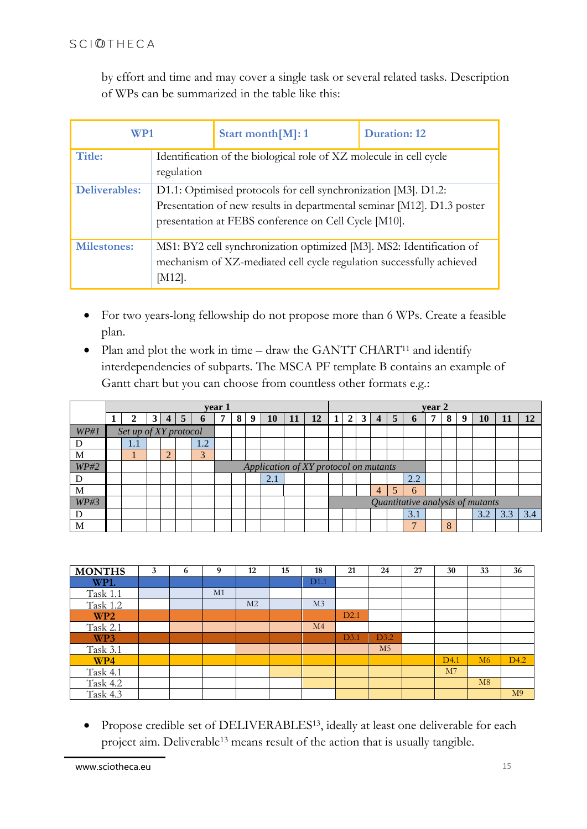by effort and time and may cover a single task or several related tasks. Description of WPs can be summarized in the table like this:

| WP1                |                                                                                                                                                                                                  | Start month [M]: 1                                                                                                                           | <b>Duration: 12</b> |  |  |  |  |  |
|--------------------|--------------------------------------------------------------------------------------------------------------------------------------------------------------------------------------------------|----------------------------------------------------------------------------------------------------------------------------------------------|---------------------|--|--|--|--|--|
| Title:             | Identification of the biological role of XZ molecule in cell cycle<br>regulation                                                                                                                 |                                                                                                                                              |                     |  |  |  |  |  |
| Deliverables:      | D1.1: Optimised protocols for cell synchronization [M3]. D1.2:<br>Presentation of new results in departmental seminar [M12]. D1.3 poster<br>presentation at FEBS conference on Cell Cycle [M10]. |                                                                                                                                              |                     |  |  |  |  |  |
| <b>Milestones:</b> | $[M12]$ .                                                                                                                                                                                        | MS1: BY2 cell synchronization optimized [M3]. MS2: Identification of<br>mechanism of XZ-mediated cell cycle regulation successfully achieved |                     |  |  |  |  |  |

- For two years-long fellowship do not propose more than 6 WPs. Create a feasible plan.
- Plan and plot the work in time draw the GANTT CHART<sup>11</sup> and identify interdependencies of subparts. The MSCA PF template B contains an example of Gantt chart but you can choose from countless other formats e.g.:

|      | year 1 |                       |   |   |   |              |  |                                       |   |     |    |    |  | year 2         |              |                |                |     |  |   |   |     |     |     |
|------|--------|-----------------------|---|---|---|--------------|--|---------------------------------------|---|-----|----|----|--|----------------|--------------|----------------|----------------|-----|--|---|---|-----|-----|-----|
|      |        |                       | 3 | 4 | 5 | $\mathbf{v}$ |  | $8^{\circ}$                           | 9 | 10  | 11 | 12 |  | 2 <sub>1</sub> | $\mathbf{3}$ | 4              | 5              | o   |  | 8 | g | 10  |     | 12  |
| WP#1 |        | Set up of XY protocol |   |   |   |              |  |                                       |   |     |    |    |  |                |              |                |                |     |  |   |   |     |     |     |
|      |        | 1.1                   |   |   |   | 1.2          |  |                                       |   |     |    |    |  |                |              |                |                |     |  |   |   |     |     |     |
| M    |        |                       |   |   |   | 3            |  |                                       |   |     |    |    |  |                |              |                |                |     |  |   |   |     |     |     |
| WP#2 |        |                       |   |   |   |              |  | Application of XY protocol on mutants |   |     |    |    |  |                |              |                |                |     |  |   |   |     |     |     |
|      |        |                       |   |   |   |              |  |                                       |   | 2.1 |    |    |  |                |              |                |                | 2.2 |  |   |   |     |     |     |
| M    |        |                       |   |   |   |              |  |                                       |   |     |    |    |  |                |              | $\overline{4}$ | $\overline{5}$ | 6   |  |   |   |     |     |     |
| WP#3 |        |                       |   |   |   |              |  | Quantitative analysis of mutants      |   |     |    |    |  |                |              |                |                |     |  |   |   |     |     |     |
|      |        |                       |   |   |   |              |  |                                       |   |     |    |    |  |                |              |                |                | 3.1 |  |   |   | 3.2 | 3.3 | 3.4 |
| M    |        |                       |   |   |   |              |  |                                       |   |     |    |    |  |                |              |                |                |     |  | 8 |   |     |     |     |

| <b>MONTHS</b>   | 3 | 6 | 9  | 12             | 15 | 18             | 21   | 24             | 27 | 30               | 33 | 36               |
|-----------------|---|---|----|----------------|----|----------------|------|----------------|----|------------------|----|------------------|
| <b>WP1.</b>     |   |   |    |                |    | D1.1           |      |                |    |                  |    |                  |
| Task 1.1        |   |   | M1 |                |    |                |      |                |    |                  |    |                  |
| <b>Task 1.2</b> |   |   |    | M <sub>2</sub> |    | M <sub>3</sub> |      |                |    |                  |    |                  |
| WP <sub>2</sub> |   |   |    |                |    |                | D2.1 |                |    |                  |    |                  |
| Task 2.1        |   |   |    |                |    | M <sub>4</sub> |      |                |    |                  |    |                  |
| WP3             |   |   |    |                |    |                | D3.1 | D3.2           |    |                  |    |                  |
| Task 3.1        |   |   |    |                |    |                |      | M <sub>5</sub> |    |                  |    |                  |
| WP4             |   |   |    |                |    |                |      |                |    | D <sub>4.1</sub> | M6 | D <sub>4.2</sub> |
| Task 4.1        |   |   |    |                |    |                |      |                |    | M7               |    |                  |
| Task 4.2        |   |   |    |                |    |                |      |                |    |                  | M8 |                  |
| <b>Task 4.3</b> |   |   |    |                |    |                |      |                |    |                  |    | M <sub>9</sub>   |

• Propose credible set of DELIVERABLES<sup>13</sup>, ideally at least one deliverable for each project aim. Deliverable<sup>13</sup> means result of the action that is usually tangible.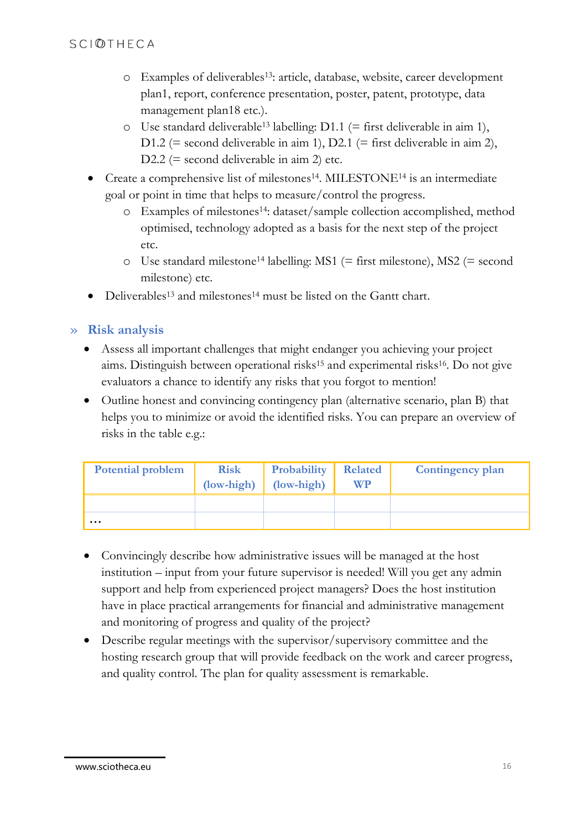- o Examples of deliverables13: article, database, website, career development plan1, report, conference presentation, poster, patent, prototype, data management plan18 etc.).
- o Use standard deliverable<sup>13</sup> labelling: D1.1 (= first deliverable in aim 1), D1.2 (= second deliverable in aim 1), D2.1 (= first deliverable in aim 2), D2.2 (= second deliverable in aim 2) etc.
- Create a comprehensive list of milestones<sup>14</sup>. MILESTONE<sup>14</sup> is an intermediate goal or point in time that helps to measure/control the progress.
	- o Examples of milestones14: dataset/sample collection accomplished, method optimised, technology adopted as a basis for the next step of the project etc.
	- $\circ$  Use standard milestone<sup>14</sup> labelling: MS1 (= first milestone), MS2 (= second milestone) etc.
- Deliverables<sup>13</sup> and milestones<sup>14</sup> must be listed on the Gantt chart.

#### » **Risk analysis**

- Assess all important challenges that might endanger you achieving your project aims. Distinguish between operational risks<sup>15</sup> and experimental risks16. Do not give evaluators a chance to identify any risks that you forgot to mention!
- Outline honest and convincing contingency plan (alternative scenario, plan B) that helps you to minimize or avoid the identified risks. You can prepare an overview of risks in the table e.g.:

| <b>Potential problem</b> | <b>Risk</b><br>(low-high) | Probability<br>(low-high) | <b>Related</b><br><b>WP</b> | Contingency plan |
|--------------------------|---------------------------|---------------------------|-----------------------------|------------------|
|                          |                           |                           |                             |                  |
| $\cdots$                 |                           |                           |                             |                  |

- Convincingly describe how administrative issues will be managed at the host institution – input from your future supervisor is needed! Will you get any admin support and help from experienced project managers? Does the host institution have in place practical arrangements for financial and administrative management and monitoring of progress and quality of the project?
- Describe regular meetings with the supervisor/supervisory committee and the hosting research group that will provide feedback on the work and career progress, and quality control. The plan for quality assessment is remarkable.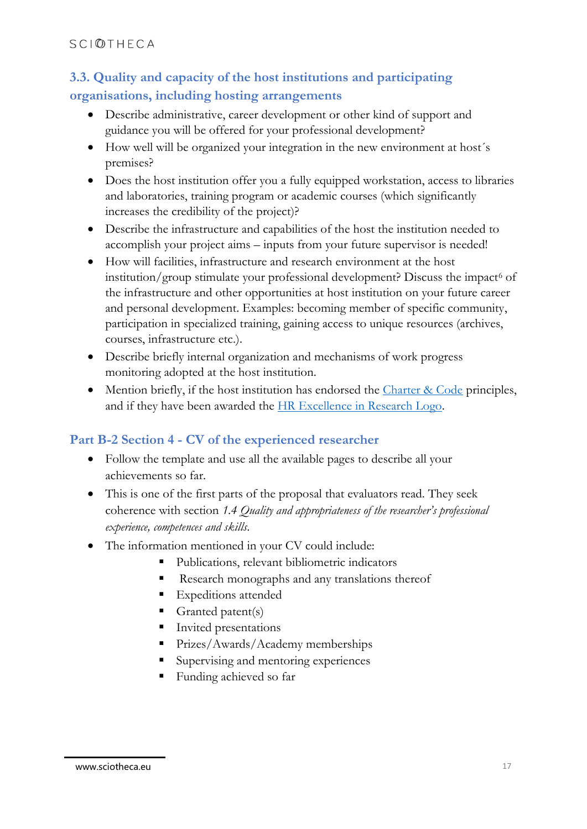# **3.3. Quality and capacity of the host institutions and participating organisations, including hosting arrangements**

- Describe administrative, career development or other kind of support and guidance you will be offered for your professional development?
- How well will be organized your integration in the new environment at host´s premises?
- Does the host institution offer you a fully equipped workstation, access to libraries and laboratories, training program or academic courses (which significantly increases the credibility of the project)?
- Describe the infrastructure and capabilities of the host the institution needed to accomplish your project aims – inputs from your future supervisor is needed!
- How will facilities, infrastructure and research environment at the host institution/group stimulate your professional development? Discuss the impact<sup>6</sup> of the infrastructure and other opportunities at host institution on your future career and personal development. Examples: becoming member of specific community, participation in specialized training, gaining access to unique resources (archives, courses, infrastructure etc.).
- Describe briefly internal organization and mechanisms of work progress monitoring adopted at the host institution.
- Mention briefly, if the host institution has endorsed the [Charter & Code](https://euraxess.ec.europa.eu/jobs/charter) principles, and if they have been awarded the [HR Excellence in Research Logo.](https://euraxess.ec.europa.eu/jobs/hrs4r)

## **Part B-2 Section 4 - CV of the experienced researcher**

- Follow the template and use all the available pages to describe all your achievements so far.
- This is one of the first parts of the proposal that evaluators read. They seek coherence with section *1.4 Quality and appropriateness of the researcher's professional experience, competences and skills*.
- The information mentioned in your CV could include:
	- Publications, relevant bibliometric indicators
	- Research monographs and any translations thereof
	- Expeditions attended
	- Granted patent(s)
	- Invited presentations
	- **Prizes/Awards/Academy memberships**
	- Supervising and mentoring experiences
	- Funding achieved so far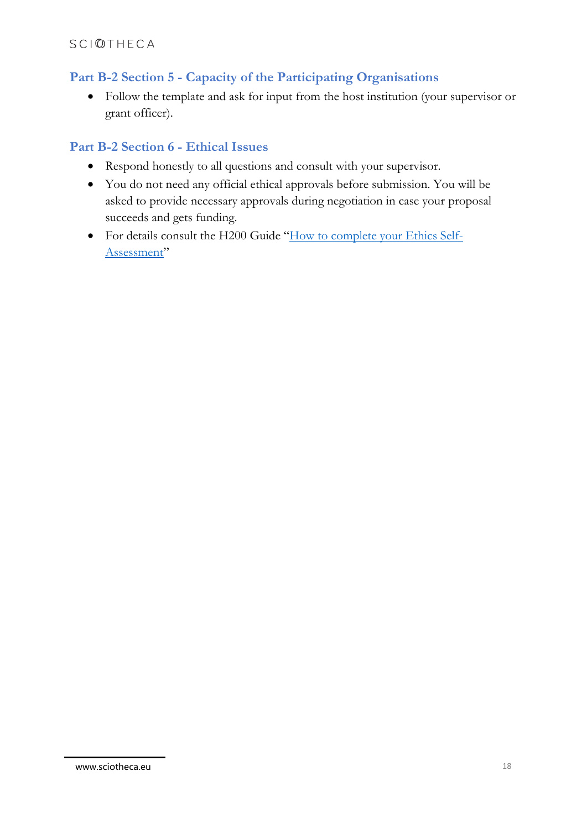## **Part B-2 Section 5 - Capacity of the Participating Organisations**

• Follow the template and ask for input from the host institution (your supervisor or grant officer).

## **Part B-2 Section 6 - Ethical Issues**

- Respond honestly to all questions and consult with your supervisor.
- You do not need any official ethical approvals before submission. You will be asked to provide necessary approvals during negotiation in case your proposal succeeds and gets funding.
- For details consult the H200 Guide "[How to complete your Ethics Self-](https://ec.europa.eu/research/participants/data/ref/h2020/grants_manual/hi/ethics/h2020_hi_ethics-self-assess_en.pdf)[Assessment](https://ec.europa.eu/research/participants/data/ref/h2020/grants_manual/hi/ethics/h2020_hi_ethics-self-assess_en.pdf)"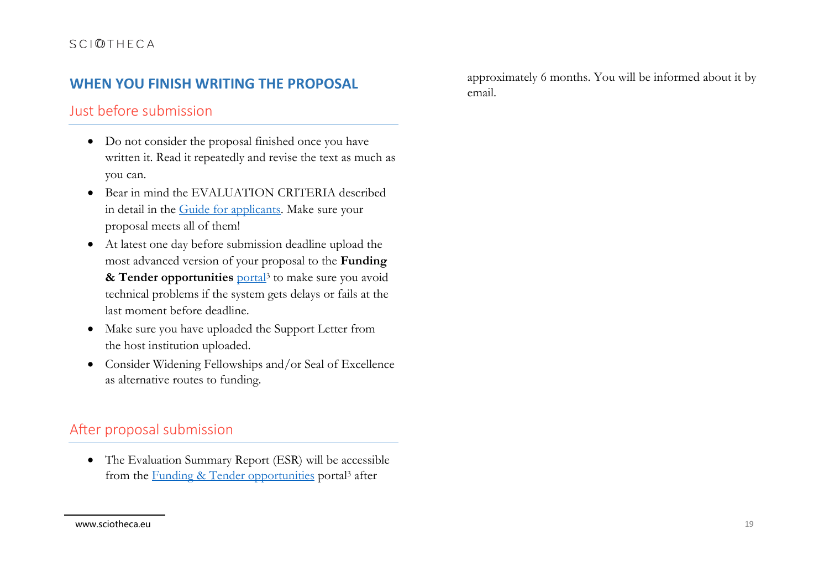## **WHEN YOU FINISH WRITING THE PROPOSAL**

## Just before submission

- Do not consider the proposal finished once you have written it. Read it repeatedly and revise the text as much as you can.
- Bear in mind the EVALUATION CRITERIA described in detail in the [Guide for applicants.](https://ec.europa.eu/research/participants/data/ref/h2020/other/guides_for_applicants/h2020-guide-appl-msca-if-2018-20_en.pdf) Make sure your proposal meets all of them!
- At latest one day before submission deadline upload the most advanced version of your proposal to the **Funding**  & Tender opportunities **[portal](https://ec.europa.eu/info/funding-tenders/opportunities/portal/screen/home)<sup>3</sup>** to make sure you avoid technical problems if the system gets delays or fails at the last moment before deadline.
- Make sure you have uploaded the Support Letter from the host institution uploaded.
- Consider Widening Fellowships and/or Seal of Excellence as alternative routes to funding.

## After proposal submission

• The Evaluation Summary Report (ESR) will be accessible from the [Funding & Tender opportunities](https://ec.europa.eu/info/funding-tenders/opportunities/portal/screen/home) portal<sup>3</sup> after

approximately 6 months. You will be informed about it by email.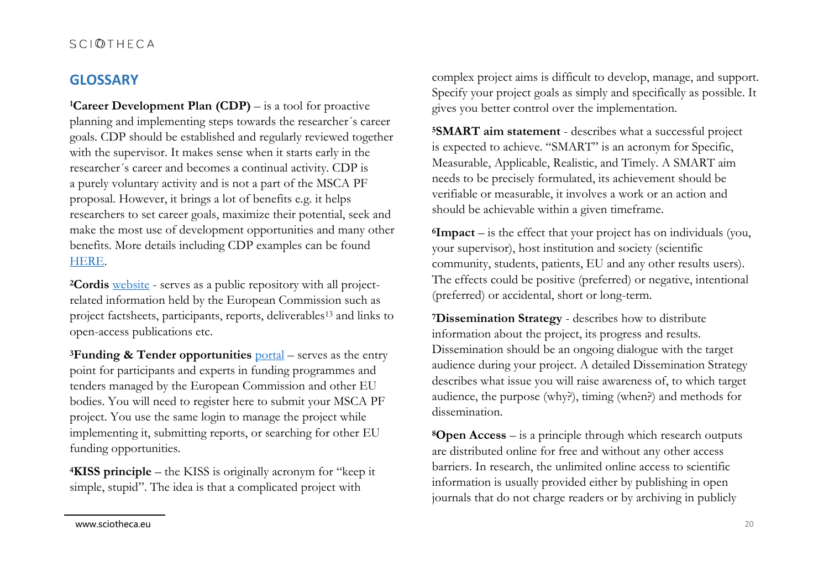## **GLOSSARY**

**<sup>1</sup>Career Development Plan (CDP)** – is a tool for proactive planning and implementing steps towards the researcher´s career goals. CDP should be established and regularly reviewed together with the supervisor. It makes sense when it starts early in the researcher´s career and becomes a continual activity. CDP is a purely voluntary activity and is not a part of the MSCA PF proposal. However, it brings a lot of benefits e.g. it helps researchers to set career goals, maximize their potential, seek and make the most use of development opportunities and many other benefits. More details including CDP examples can be found [HERE.](https://ec.europa.eu/research/participants/documents/downloadPublic?documentIds=080166e5bd4ed377&appId=PPGMS)

**<sup>2</sup>Cordis** [website](https://cordis.europa.eu/en) - serves as a public repository with all projectrelated information held by the European Commission such as project factsheets, participants, reports, deliverables<sup>13</sup> and links to open-access publications etc.

**<sup>3</sup>Funding & Tender opportunities** [portal](https://ec.europa.eu/info/funding-tenders/opportunities/portal/screen/home) – serves as the entry point for participants and experts in funding programmes and tenders managed by the European Commission and other EU bodies. You will need to register here to submit your MSCA PF project. You use the same login to manage the project while implementing it, submitting reports, or searching for other EU funding opportunities.

**<sup>4</sup>KISS principle** – the KISS is originally acronym for "keep it simple, stupid". The idea is that a complicated project with

complex project aims is difficult to develop, manage, and support. Specify your project goals as simply and specifically as possible. It gives you better control over the implementation.

**<sup>5</sup>SMART aim statement** - describes what a successful project is expected to achieve. "SMART" is an acronym for Specific, Measurable, Applicable, Realistic, and Timely. A SMART aim needs to be precisely formulated, its achievement should be verifiable or measurable, it involves a work or an action and should be achievable within a given timeframe.

**<sup>6</sup>Impact** – is the effect that your project has on individuals (you, your supervisor), host institution and society (scientific community, students, patients, EU and any other results users). The effects could be positive (preferred) or negative, intentional (preferred) or accidental, short or long-term.

**<sup>7</sup>Dissemination Strategy** - describes how to distribute information about the project, its progress and results. Dissemination should be an ongoing dialogue with the target audience during your project. A detailed Dissemination Strategy describes what issue you will raise awareness of, to which target audience, the purpose (why?), timing (when?) and methods for dissemination.

**<sup>8</sup>Open Access** – is a principle through which research outputs are distributed online for free and without any other access barriers. In research, the unlimited online access to scientific information is usually provided either by publishing in open journals that do not charge readers or by archiving in publicly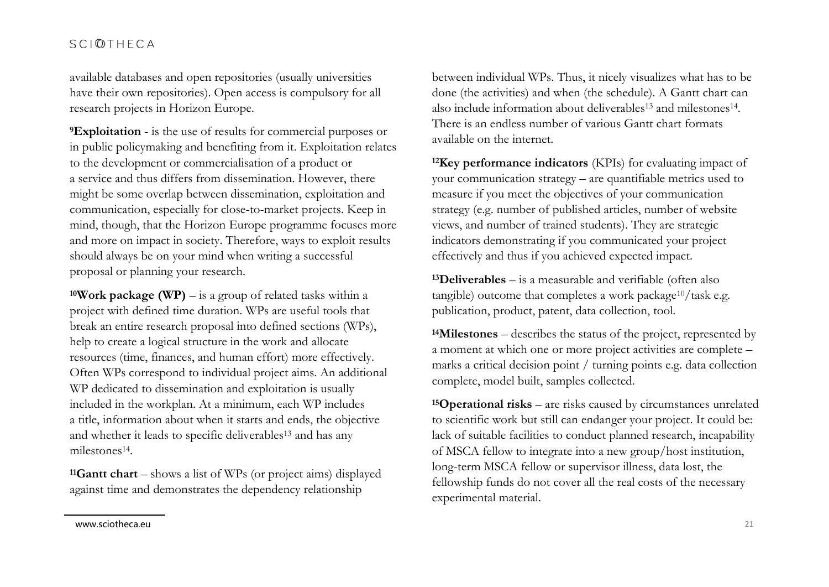available databases and open repositories (usually universities have their own repositories). Open access is compulsory for all research projects in Horizon Europe.

**<sup>9</sup>Exploitation** - is the use of results for commercial purposes or in public policymaking and benefiting from it. Exploitation relates to the development or commercialisation of a product or a service and thus differs from dissemination. However, there might be some overlap between dissemination, exploitation and communication, especially for close-to-market projects. Keep in mind, though, that the Horizon Europe programme focuses more and more on impact in society. Therefore, ways to exploit results should always be on your mind when writing a successful proposal or planning your research.

**<sup>10</sup>Work package (WP)** – is a group of related tasks within a project with defined time duration. WPs are useful tools that break an entire research proposal into defined sections (WPs), help to create a logical structure in the work and allocate resources (time, finances, and human effort) more effectively. Often WPs correspond to individual project aims. An additional WP dedicated to dissemination and exploitation is usually included in the workplan. At a minimum, each WP includes a title, information about when it starts and ends, the objective and whether it leads to specific deliverables<sup>13</sup> and has any milestones<sup>14</sup>.

**<sup>11</sup>Gantt chart** – shows a list of WPs (or project aims) displayed against time and demonstrates the dependency relationship

between individual WPs. Thus, it nicely visualizes what has to be done (the activities) and when (the schedule). A Gantt chart can also include information about deliverables<sup>13</sup> and milestones<sup>14</sup>. There is an endless number of various Gantt chart formats available on the internet.

**<sup>12</sup>Key performance indicators** (KPIs) for evaluating impact of your communication strategy – are quantifiable metrics used to measure if you meet the objectives of your communication strategy (e.g. number of published articles, number of website views, and number of trained students). They are strategic indicators demonstrating if you communicated your project effectively and thus if you achieved expected impact.

**<sup>13</sup>Deliverables** – is a measurable and verifiable (often also tangible) outcome that completes a work package<sup>10</sup>/task e.g. publication, product, patent, data collection, tool.

**<sup>14</sup>Milestones** – describes the status of the project, represented by a moment at which one or more project activities are complete – marks a critical decision point / turning points e.g. data collection complete, model built, samples collected.

**<sup>15</sup>Operational risks** – are risks caused by circumstances unrelated to scientific work but still can endanger your project. It could be: lack of suitable facilities to conduct planned research, incapability of MSCA fellow to integrate into a new group/host institution, long-term MSCA fellow or supervisor illness, data lost, the fellowship funds do not cover all the real costs of the necessary experimental material.

www.sciotheca.eu 21